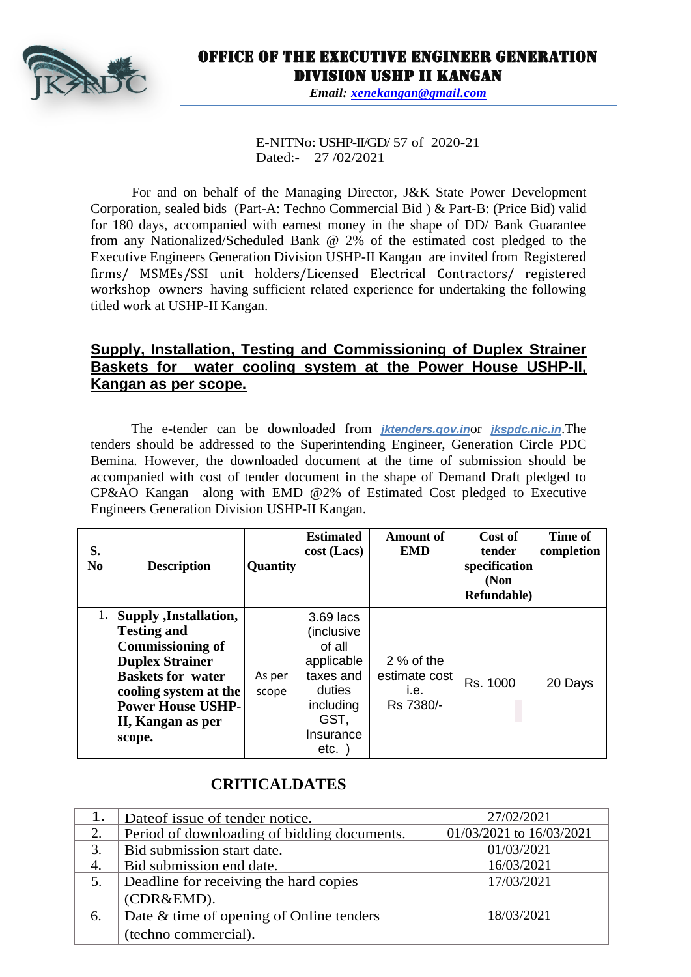

## Office of the Executive Engineer Generation Division USHP II Kangan

*Email: [xenekangan@gmail.com](mailto:xenekangan@gmail.com)*

E-NITNo: USHP-II/GD/ 57 of 2020-21 Dated:- 27 /02/2021

For and on behalf of the Managing Director, J&K State Power Development Corporation, sealed bids (Part-A: Techno Commercial Bid ) & Part-B: (Price Bid) valid for 180 days, accompanied with earnest money in the shape of DD/ Bank Guarantee from any Nationalized/Scheduled Bank @ 2% of the estimated cost pledged to the Executive Engineers Generation Division USHP-II Kangan are invited from Registered firms/ MSMEs/SSI unit holders/Licensed Electrical Contractors/ registered workshop owners having sufficient related experience for undertaking the following titled work at USHP-II Kangan.

## **Supply, Installation, Testing and Commissioning of Duplex Strainer Baskets for water cooling system at the Power House USHP-II, Kangan as per scope.**

The e-tender can be downloaded from *jktenders.gov.in*or *jkspdc.nic.in*.The tenders should be addressed to the Superintending Engineer, Generation Circle PDC Bemina. However, the downloaded document at the time of submission should be accompanied with cost of tender document in the shape of Demand Draft pledged to CP&AO Kangan along with EMD @2% of Estimated Cost pledged to Executive Engineers Generation Division USHP-II Kangan.

| S.<br>N <sub>0</sub> | <b>Description</b>                                                                                                                                                                                         | Quantity        | <b>Estimated</b><br>$cost$ (Lacs)                                                                                | Amount of<br><b>EMD</b>                           | Cost of<br>tender<br>specification<br>(Non<br>Refundable) | Time of<br>completion |
|----------------------|------------------------------------------------------------------------------------------------------------------------------------------------------------------------------------------------------------|-----------------|------------------------------------------------------------------------------------------------------------------|---------------------------------------------------|-----------------------------------------------------------|-----------------------|
| 1.                   | Supply , Installation,<br><b>Testing and</b><br>Commissioning of<br><b>Duplex Strainer</b><br><b>Baskets for water</b><br>cooling system at the<br><b>Power House USHP-</b><br>II, Kangan as per<br>scope. | As per<br>scope | 3.69 lacs<br>(inclusive<br>of all<br>applicable<br>taxes and<br>duties<br>including<br>GST,<br>Insurance<br>etc. | $2%$ of the<br>estimate cost<br>i.e.<br>Rs 7380/- | Rs. 1000                                                  | 20 Days               |

## **CRITICALDATES**

|    | Date of issue of tender notice.             | 27/02/2021               |
|----|---------------------------------------------|--------------------------|
|    | Period of downloading of bidding documents. | 01/03/2021 to 16/03/2021 |
| 3. | Bid submission start date.                  | 01/03/2021               |
| 4. | Bid submission end date.                    | 16/03/2021               |
| 5. | Deadline for receiving the hard copies      | 17/03/2021               |
|    | (CDR&EMD).                                  |                          |
| 6. | Date & time of opening of Online tenders    | 18/03/2021               |
|    | (techno commercial).                        |                          |